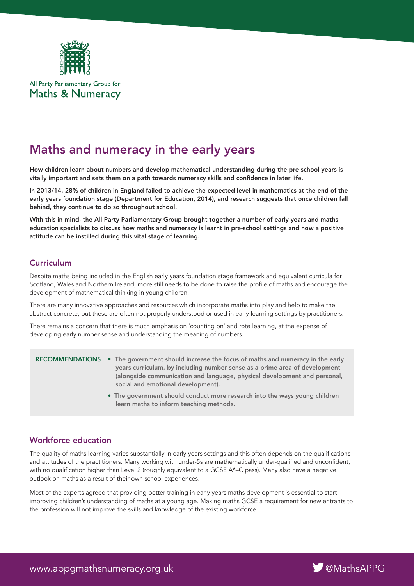

All Party Parliamentary Group for **Maths & Numeracy** 

# Maths and numeracy in the early years

How children learn about numbers and develop mathematical understanding during the pre-school years is vitally important and sets them on a path towards numeracy skills and confidence in later life.

In 2013/14, 28% of children in England failed to achieve the expected level in mathematics at the end of the early years foundation stage (Department for Education, 2014), and research suggests that once children fall behind, they continue to do so throughout school.

With this in mind, the All-Party Parliamentary Group brought together a number of early years and maths education specialists to discuss how maths and numeracy is learnt in pre-school settings and how a positive attitude can be instilled during this vital stage of learning.

## **Curriculum**

Despite maths being included in the English early years foundation stage framework and equivalent curricula for Scotland, Wales and Northern Ireland, more still needs to be done to raise the profile of maths and encourage the development of mathematical thinking in young children.

There are many innovative approaches and resources which incorporate maths into play and help to make the abstract concrete, but these are often not properly understood or used in early learning settings by practitioners.

There remains a concern that there is much emphasis on 'counting on' and rote learning, at the expense of developing early number sense and understanding the meaning of numbers.

- RECOMMENDATIONS The government should increase the focus of maths and numeracy in the early years curriculum, by including number sense as a prime area of development (alongside communication and language, physical development and personal, social and emotional development).
	- The government should conduct more research into the ways young children learn maths to inform teaching methods.

# Workforce education

The quality of maths learning varies substantially in early years settings and this often depends on the qualifications and attitudes of the practitioners. Many working with under-5s are mathematically under-qualified and unconfident, with no qualification higher than Level 2 (roughly equivalent to a GCSE A\*–C pass). Many also have a negative outlook on maths as a result of their own school experiences.

Most of the experts agreed that providing better training in early years maths development is essential to start improving children's understanding of maths at a young age. Making maths GCSE a requirement for new entrants to the profession will not improve the skills and knowledge of the existing workforce.